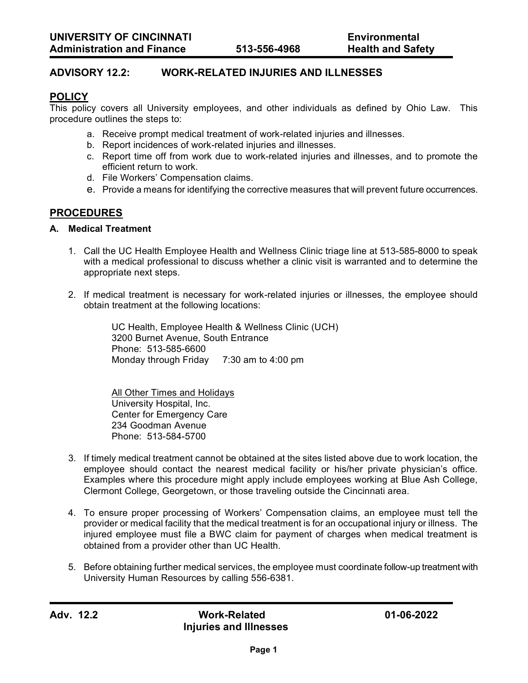# **ADVISORY 12.2: WORK-RELATED INJURIES AND ILLNESSES**

## **POLICY**

This policy covers all University employees, and other individuals as defined by Ohio Law. This procedure outlines the steps to:

- a. Receive prompt medical treatment of work-related injuries and illnesses.
- b. Report incidences of work-related injuries and illnesses.
- c. Report time off from work due to work-related injuries and illnesses, and to promote the efficient return to work.
- d. File Workers' Compensation claims.
- e. Provide a means for identifying the corrective measures that will prevent future occurrences.

# **PROCEDURES**

#### **A. Medical Treatment**

- 1. Call the UC Health Employee Health and Wellness Clinic triage line at 513-585-8000 to speak with a medical professional to discuss whether a clinic visit is warranted and to determine the appropriate next steps.
- 2. If medical treatment is necessary for work-related injuries or illnesses, the employee should obtain treatment at the following locations:

UC Health, Employee Health & Wellness Clinic (UCH) 3200 Burnet Avenue, South Entrance Phone: 513-585-6600 Monday through Friday 7:30 am to 4:00 pm

All Other Times and Holidays University Hospital, Inc. Center for Emergency Care 234 Goodman Avenue Phone: 513-584-5700

- 3. If timely medical treatment cannot be obtained at the sites listed above due to work location, the employee should contact the nearest medical facility or his/her private physician's office. Examples where this procedure might apply include employees working at Blue Ash College, Clermont College, Georgetown, or those traveling outside the Cincinnati area.
- 4. To ensure proper processing of Workers' Compensation claims, an employee must tell the provider or medical facility that the medical treatment is for an occupational injury or illness. The injured employee must file a BWC claim for payment of charges when medical treatment is obtained from a provider other than UC Health.
- 5. Before obtaining further medical services, the employee must coordinate follow-up treatment with University Human Resources by calling 556-6381.

**Adv. 12.2 Work-Related 01-06-2022 Injuries and Illnesses**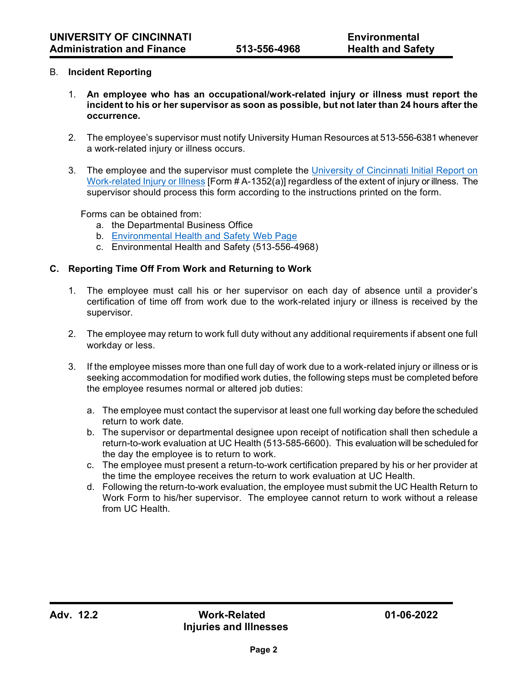### B. **Incident Reporting**

- 1. **An employee who has an occupational/work-related injury or illness must report the incident to his or her supervisor as soon as possible, but not later than 24 hours after the occurrence.**
- 2. The employee's supervisor must notify University Human Resources at 513-556-6381 whenever a work-related injury or illness occurs.
- 3. The employee and the supervisor must complete the [University of Cincinnati Initial Report on](https://ehs.uc.edu/forms.aspx)  [Work-related Injury or Illness](https://ehs.uc.edu/forms.aspx) [Form # A-1352(a)] regardless of the extent of injury or illness. The supervisor should process this form according to the instructions printed on the form.

Forms can be obtained from:

- a. the Departmental Business Office
- b. [Environmental Health and Safety Web Page](https://ehs.uc.edu/forms.aspx)
- c. Environmental Health and Safety (513-556-4968)

#### **C. Reporting Time Off From Work and Returning to Work**

- 1. The employee must call his or her supervisor on each day of absence until a provider's certification of time off from work due to the work-related injury or illness is received by the supervisor.
- 2. The employee may return to work full duty without any additional requirements if absent one full workday or less.
- 3. If the employee misses more than one full day of work due to a work-related injury or illness or is seeking accommodation for modified work duties, the following steps must be completed before the employee resumes normal or altered job duties:
	- a. The employee must contact the supervisor at least one full working day before the scheduled return to work date.
	- b. The supervisor or departmental designee upon receipt of notification shall then schedule a return-to-work evaluation at UC Health (513-585-6600). This evaluation will be scheduled for the day the employee is to return to work.
	- c. The employee must present a return-to-work certification prepared by his or her provider at the time the employee receives the return to work evaluation at UC Health.
	- d. Following the return-to-work evaluation, the employee must submit the UC Health Return to Work Form to his/her supervisor. The employee cannot return to work without a release from UC Health.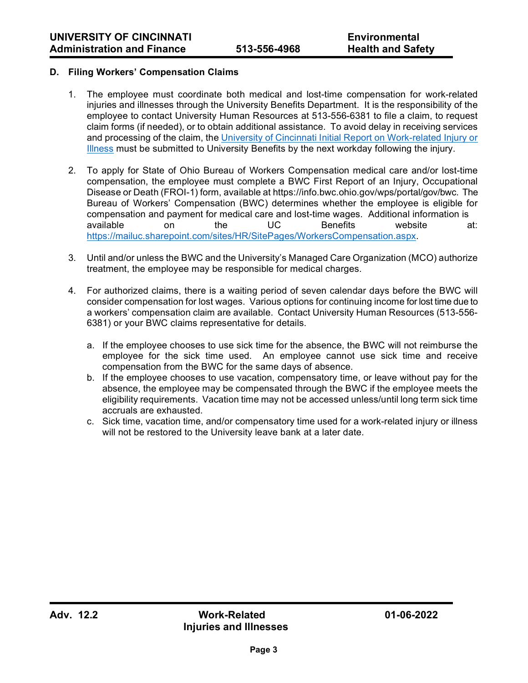### **D. Filing Workers' Compensation Claims**

- 1. The employee must coordinate both medical and lost-time compensation for work-related injuries and illnesses through the University Benefits Department. It is the responsibility of the employee to contact University Human Resources at 513-556-6381 to file a claim, to request claim forms (if needed), or to obtain additional assistance. To avoid delay in receiving services and processing of the claim, the University of Cincinnati Initial Report on Work-related Injury or [Illness](https://ehs.uc.edu/forms.aspx) must be submitted to University Benefits by the next workday following the injury.
- 2. To apply for State of Ohio Bureau of Workers Compensation medical care and/or lost-time compensation, the employee must complete a BWC First Report of an Injury, Occupational Disease or Death (FROI-1) form, available at https://info.bwc.ohio.gov/wps/portal/gov/bwc. The Bureau of Workers' Compensation (BWC) determines whether the employee is eligible for compensation and payment for medical care and lost-time wages. Additional information is available on the UC Benefits website at: [https://mailuc.sharepoint.com/sites/HR/SitePages/WorkersCompensation.aspx.](https://mailuc.sharepoint.com/sites/HR/SitePages/WorkersCompensation.aspx)
- 3. Until and/or unless the BWC and the University's Managed Care Organization (MCO) authorize treatment, the employee may be responsible for medical charges.
- 4. For authorized claims, there is a waiting period of seven calendar days before the BWC will consider compensation for lost wages. Various options for continuing income for lost time due to a workers' compensation claim are available. Contact University Human Resources (513-556- 6381) or your BWC claims representative for details.
	- a. If the employee chooses to use sick time for the absence, the BWC will not reimburse the employee for the sick time used. An employee cannot use sick time and receive compensation from the BWC for the same days of absence.
	- b. If the employee chooses to use vacation, compensatory time, or leave without pay for the absence, the employee may be compensated through the BWC if the employee meets the eligibility requirements. Vacation time may not be accessed unless/until long term sick time accruals are exhausted.
	- c. Sick time, vacation time, and/or compensatory time used for a work-related injury or illness will not be restored to the University leave bank at a later date.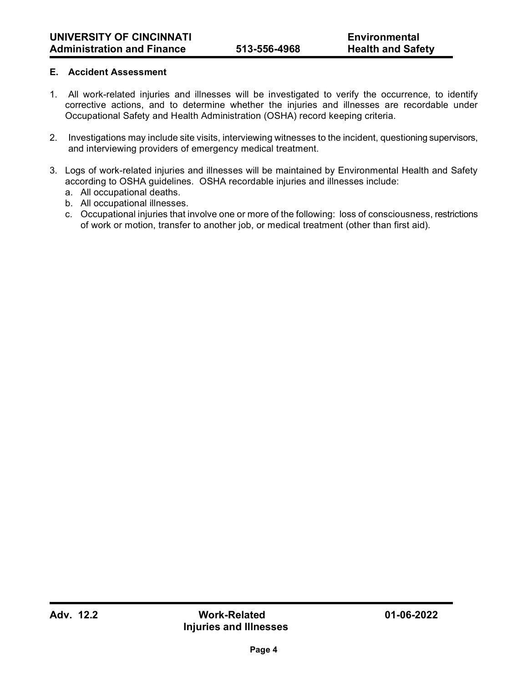## **E. Accident Assessment**

- 1. All work-related injuries and illnesses will be investigated to verify the occurrence, to identify corrective actions, and to determine whether the injuries and illnesses are recordable under Occupational Safety and Health Administration (OSHA) record keeping criteria.
- 2. Investigations may include site visits, interviewing witnesses to the incident, questioning supervisors, and interviewing providers of emergency medical treatment.
- 3. Logs of work-related injuries and illnesses will be maintained by Environmental Health and Safety according to OSHA guidelines. OSHA recordable injuries and illnesses include:
	- a. All occupational deaths.
	- b. All occupational illnesses.
	- c. Occupational injuries that involve one or more of the following: loss of consciousness, restrictions of work or motion, transfer to another job, or medical treatment (other than first aid).